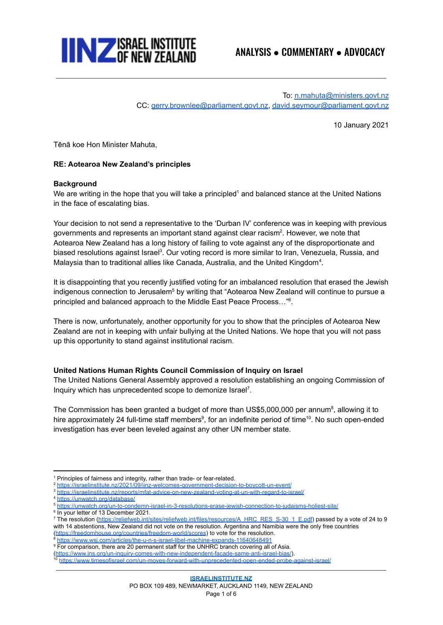

To: [n.mahuta@ministers.govt.nz](mailto:n.mahuta@ministers.govt.nz) CC: [gerry.brownlee@parliament.govt.nz,](mailto:gerry.brownlee@parliament.govt.nz) [david.seymour@parliament.govt.nz](mailto:david.seymour@parliament.govt.nz)

10 January 2021

Tēnā koe Hon Minister Mahuta,

# **RE: Aotearoa New Zealand's principles**

### **Background**

We are writing in the hope that you will take a principled<sup>1</sup> and balanced stance at the United Nations in the face of escalating bias.

Your decision to not send a representative to the 'Durban IV' conference was in keeping with previous governments and represents an important stand against clear racism<sup>2</sup>. However, we note that Aotearoa New Zealand has a long history of failing to vote against any of the disproportionate and biased resolutions against Israel<sup>3</sup>. Our voting record is more similar to Iran, Venezuela, Russia, and Malaysia than to traditional allies like Canada, Australia, and the United Kingdom<sup>4</sup>.

It is disappointing that you recently justified voting for an imbalanced resolution that erased the Jewish indigenous connection to Jerusalem<sup>5</sup> by writing that "Aotearoa New Zealand will continue to pursue a principled and balanced approach to the Middle East Peace Process..."<sup>6</sup>.

There is now, unfortunately, another opportunity for you to show that the principles of Aotearoa New Zealand are not in keeping with unfair bullying at the United Nations. We hope that you will not pass up this opportunity to stand against institutional racism.

### **United Nations Human Rights Council Commission of Inquiry on Israel**

The United Nations General Assembly approved a resolution establishing an ongoing Commission of Inquiry which has unprecedented scope to demonize Israel<sup>7</sup>.

The Commission has been granted a budget of more than US\$5,000,000 per annum<sup>8</sup>, allowing it to hire approximately 24 full-time staff members<sup>9</sup>, for an indefinite period of time<sup>10</sup>. No such open-ended investigation has ever been leveled against any other UN member state.

<sup>2</sup> <https://israelinstitute.nz/2021/09/iinz-welcomes-government-decision-to-boycott-un-event/>

<https://israelinstitute.nz/reports/mfat-advice-on-new-zealand-voting-at-un-with-regard-to-israel/>

- <sup>4</sup> <https://unwatch.org/database/>
- <sup>5</sup> <https://unwatch.org/un-to-condemn-israel-in-3-resolutions-erase-jewish-connection-to-judaisms-holiest-site/>
- 6 In your letter of 13 December 2021.

<sup>8</sup> <https://www.wsj.com/articles/the-u-n-s-israel-libel-machine-expands-11640648491>

- <sup>9</sup> For comparison, there are 20 permanent staff for the UNHRC branch covering all of Asia.
- ([https://www.jns.org/un-inquiry-comes-with-new-independent-facade-same-anti-israel-bias/\)](https://www.jns.org/un-inquiry-comes-with-new-independent-facade-same-anti-israel-bias/).

<sup>&</sup>lt;sup>1</sup> Principles of fairness and integrity, rather than trade- or fear-related.

<sup>7</sup> The resolution [\(https://reliefweb.int/sites/reliefweb.int/files/resources/A\\_HRC\\_RES\\_S-30\\_1\\_E.pdf\)](https://reliefweb.int/sites/reliefweb.int/files/resources/A_HRC_RES_S-30_1_E.pdf) passed by a vote of 24 to 9 with 14 abstentions, New Zealand did not vote on the resolution. Argentina and Namibia were the only free countries (<https://freedomhouse.org/countries/freedom-world/scores>) to vote for the resolution.

<sup>10</sup> <https://www.timesofisrael.com/un-moves-forward-with-unprecedented-open-ended-probe-against-israel/>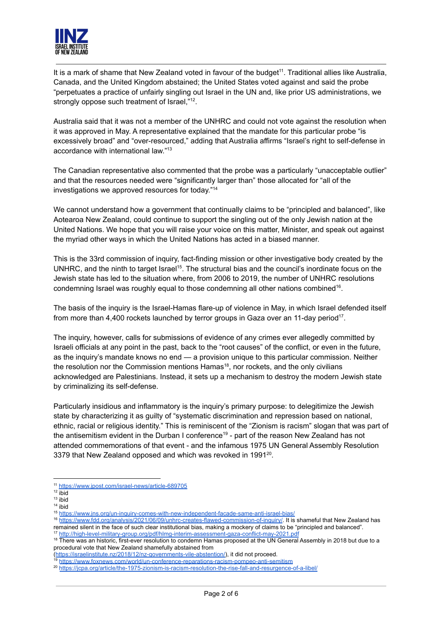

It is a mark of shame that New Zealand voted in favour of the budget<sup>11</sup>. Traditional allies like Australia, Canada, and the United Kingdom abstained; the United States voted against and said the probe "perpetuates a practice of unfairly singling out Israel in the UN and, like prior US administrations, we strongly oppose such treatment of Israel,"<sup>12</sup>.

Australia said that it was not a member of the UNHRC and could not vote against the resolution when it was approved in May. A representative explained that the mandate for this particular probe "is excessively broad" and "over-resourced," adding that Australia affirms "Israel's right to self-defense in accordance with international law." 13

The Canadian representative also commented that the probe was a particularly "unacceptable outlier" and that the resources needed were "significantly larger than" those allocated for "all of the investigations we approved resources for today." 14

We cannot understand how a government that continually claims to be "principled and balanced", like Aotearoa New Zealand, could continue to support the singling out of the only Jewish nation at the United Nations. We hope that you will raise your voice on this matter, Minister, and speak out against the myriad other ways in which the United Nations has acted in a biased manner.

This is the 33rd commission of inquiry, fact-finding mission or other investigative body created by the UNHRC, and the ninth to target Israel<sup>15</sup>. The structural bias and the council's inordinate focus on the Jewish state has led to the situation where, from 2006 to 2019, the number of UNHRC resolutions condemning Israel was roughly equal to those condemning all other nations combined<sup>16</sup>.

The basis of the inquiry is the Israel-Hamas flare-up of violence in May, in which Israel defended itself from more than 4,400 rockets launched by terror groups in Gaza over an 11-day period<sup>17</sup>.

The inquiry, however, calls for submissions of evidence of any crimes ever allegedly committed by Israeli officials at any point in the past, back to the "root causes" of the conflict, or even in the future, as the inquiry's mandate knows no end — a provision unique to this particular commission. Neither the resolution nor the Commission mentions Hamas<sup>18</sup>, nor rockets, and the only civilians acknowledged are Palestinians. Instead, it sets up a mechanism to destroy the modern Jewish state by criminalizing its self-defense.

Particularly insidious and inflammatory is the inquiry's primary purpose: to delegitimize the Jewish state by characterizing it as guilty of "systematic discrimination and repression based on national, ethnic, racial or religious identity." This is reminiscent of the "Zionism is racism" slogan that was part of the antisemitism evident in the Durban I conference<sup>19</sup> - part of the reason New Zealand has not attended commemorations of that event - and the infamous 1975 UN General Assembly Resolution 3379 that New Zealand opposed and which was revoked in 1991<sup>20</sup>.

<sup>11</sup> <https://www.jpost.com/israel-news/article-689705>

<sup>12</sup> ibid

<sup>14</sup> ibid <sup>13</sup> ibid

<sup>15</sup> <https://www.jns.org/un-inquiry-comes-with-new-independent-facade-same-anti-israel-bias/>

<sup>16</sup> <https://www.fdd.org/analysis/2021/06/09/unhrc-creates-flawed-commission-of-inquiry/>. It is shameful that New Zealand has remained silent in the face of such clear institutional bias, making a mockery of claims to be "principled and balanced".

<http://high-level-military-group.org/pdf/hlmg-interim-assessment-gaza-conflict-may-2021.pdf>

<sup>&</sup>lt;sup>18</sup> There was an historic, first-ever resolution to condemn Hamas proposed at the UN General Assembly in 2018 but due to a procedural vote that New Zealand shamefully abstained from (<https://israelinstitute.nz/2018/12/nz-governments-vile-abstention/>), it did not proceed.<br><sup>19</sup> https://israelinstitute.nz/2018/12/nz-governments-vile-abstention/), it did not proceed.

<https://www.foxnews.com/world/un-conference-reparations-racism-pompeo-anti-semitism>

<sup>20</sup> <https://jcpa.org/article/the-1975-zionism-is-racism-resolution-the-rise-fall-and-resurgence-of-a-libel/>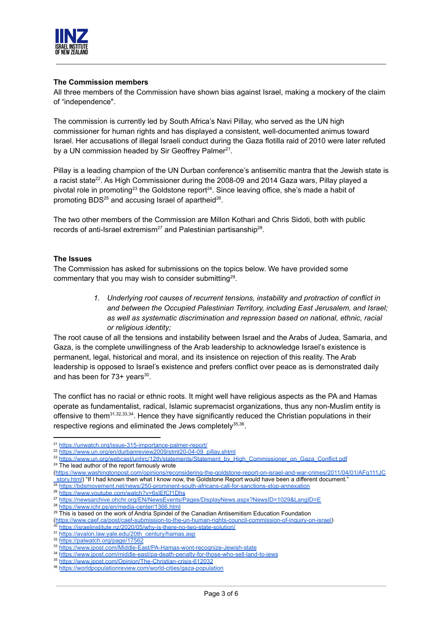

# **The Commission members**

All three members of the Commission have shown bias against Israel, making a mockery of the claim of "independence".

The commission is currently led by South Africa's Navi Pillay, who served as the UN high commissioner for human rights and has displayed a consistent, well-documented animus toward Israel. Her accusations of illegal Israeli conduct during the Gaza flotilla raid of 2010 were later refuted by a UN commission headed by Sir Geoffrey Palmer<sup>21</sup>.

Pillay is a leading champion of the UN Durban conference's antisemitic mantra that the Jewish state is a racist state<sup>22</sup>. As High Commissioner during the 2008-09 and 2014 Gaza wars, Pillay played a pivotal role in promoting<sup>23</sup> the Goldstone report<sup>24</sup>. Since leaving office, she's made a habit of promoting BDS<sup>25</sup> and accusing Israel of apartheid<sup>26</sup>.

The two other members of the Commission are Millon Kothari and Chris Sidoti, both with public records of anti-Israel extremism<sup>27</sup> and Palestinian partisanship<sup>28</sup>.

# **The Issues**

The Commission has asked for submissions on the topics below. We have provided some commentary that you may wish to consider submitting<sup>29</sup>.

> *1. Underlying root causes of recurrent tensions, instability and protraction of conflict in and between the Occupied Palestinian Territory, including East Jerusalem, and Israel; as well as systematic discrimination and repression based on national, ethnic, racial or religious identity;*

The root cause of all the tensions and instability between Israel and the Arabs of Judea, Samaria, and Gaza, is the complete unwillingness of the Arab leadership to acknowledge Israel's existence is permanent, legal, historical and moral, and its insistence on rejection of this reality. The Arab leadership is opposed to Israel's existence and prefers conflict over peace as is demonstrated daily and has been for 73+ years<sup>30</sup>.

The conflict has no racial or ethnic roots. It might well have religious aspects as the PA and Hamas operate as fundamentalist, radical, Islamic supremacist organizations, thus any non-Muslim entity is offensive to them<sup>31,32,33,34</sup>. Hence they have significantly reduced the Christian populations in their respective regions and eliminated the Jews completely<sup>35,36</sup>.

- ([https://www.washingtonpost.com/opinions/reconsidering-the-goldstone-report-on-israel-and-war-crimes/2011/04/01/AFg111JC](https://www.washingtonpost.com/opinions/reconsidering-the-goldstone-report-on-israel-and-war-crimes/2011/04/01/AFg111JC_story.html) story.html) "If I had known then what I know now, the Goldstone Report would have been a different document."
- <sup>25</sup> <https://bdsmovement.net/news/250-prominent-south-africans-call-for-sanctions-stop-annexation>

<sup>27</sup> <https://newsarchive.ohchr.org/EN/NewsEvents/Pages/DisplayNews.aspx?NewsID=1029&LangID=E>

- ([https://www.caef.ca/post/caef-submission-to-the-un-human-rights-council-commission-of-inquiry-on-israel\)](https://www.caef.ca/post/caef-submission-to-the-un-human-rights-council-commission-of-inquiry-on-israel)
- <sup>30</sup> <https://israelinstitute.nz/2020/05/why-is-there-no-two-state-solution/>
- 31 [https://avalon.law.yale.edu/20th\\_century/hamas.asp](https://avalon.law.yale.edu/20th_century/hamas.asp)
- <sup>32</sup> <https://palwatch.org/page/17562>
- <sup>33</sup> <https://www.jpost.com/Middle-East/PA-Hamas-wont-recognize-Jewish-state>
- <sup>34</sup> <https://www.jpost.com/middle-east/pa-death-penalty-for-those-who-sell-land-to-jews>
- <sup>35</sup> <https://www.jpost.com/Opinion/The-Christian-crisis-612032>

<sup>21</sup> <https://unwatch.org/issue-315-importance-palmer-report/>

<sup>22</sup> [https://www.un.org/en/durbanreview2009/stmt20-04-09\\_pillay.shtml](https://www.un.org/en/durbanreview2009/stmt20-04-09_pillay.shtml)

<sup>&</sup>lt;sup>23</sup> [https://www.un.org/webcast/unhrc/12th/statements/Statement\\_by\\_High\\_Commissioner\\_on\\_Gaza\\_Conflict.pdf](https://www.un.org/webcast/unhrc/12th/statements/Statement_by_High_Commissioner_on_Gaza_Conflict.pdf)

<sup>&</sup>lt;sup>24</sup> The lead author of the report famously wrote

<sup>26</sup> <https://www.youtube.com/watch?v=6sIEfCf1Dhs>

<sup>&</sup>lt;sup>29</sup> This is based on the work of Andria Spindel of the Canadian Antisemitism Education Foundation <sup>28</sup> <https://www.ichr.ps/en/media-center/1366.html>

<sup>36</sup> <https://worldpopulationreview.com/world-cities/gaza-population>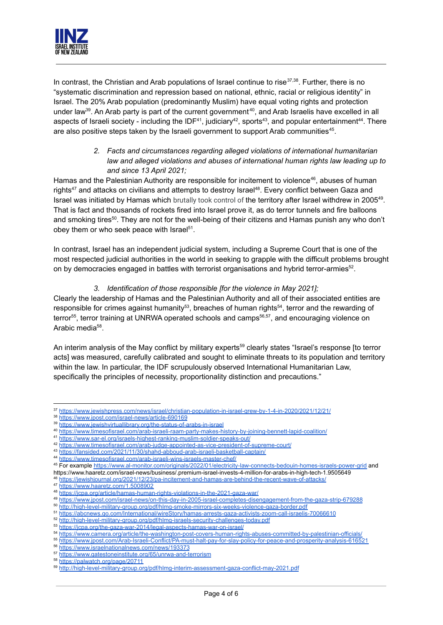

In contrast, the Christian and Arab populations of Israel continue to rise<sup>37,38</sup>. Further, there is no "systematic discrimination and repression based on national, ethnic, racial or religious identity" in Israel. The 20% Arab population (predominantly Muslim) have equal voting rights and protection under law<sup>39</sup>. An Arab party is part of the current government<sup>40</sup>, and Arab Israelis have excelled in all aspects of Israeli society - including the IDF<sup>41</sup>, judiciary<sup>42</sup>, sports<sup>43</sup>, and popular entertainment<sup>44</sup>. There are also positive steps taken by the Israeli government to support Arab communities<sup>45</sup>.

> *2. Facts and circumstances regarding alleged violations of international humanitarian law and alleged violations and abuses of international human rights law leading up to and since 13 April 2021;*

Hamas and the Palestinian Authority are responsible for incitement to violence<sup>46</sup>, abuses of human rights<sup>47</sup> and attacks on civilians and attempts to destroy Israel<sup>48</sup>. Every conflict between Gaza and Israel was initiated by Hamas which brutally took control of the territory after Israel withdrew in 2005<sup>49</sup>. That is fact and thousands of rockets fired into Israel prove it, as do terror tunnels and fire balloons and smoking tires<sup>50</sup>. They are not for the well-being of their citizens and Hamas punish any who don't obey them or who seek peace with Israel<sup>51</sup>.

In contrast, Israel has an independent judicial system, including a Supreme Court that is one of the most respected judicial authorities in the world in seeking to grapple with the difficult problems brought on by democracies engaged in battles with terrorist organisations and hybrid terror-armies<sup>52</sup>.

# *3. Identification of those responsible [for the violence in May 2021];*

Clearly the leadership of Hamas and the Palestinian Authority and all of their associated entities are responsible for crimes against humanity<sup>53</sup>, breaches of human rights<sup>54</sup>, terror and the rewarding of terror<sup>55</sup>, terror training at UNRWA operated schools and camps<sup>56,57</sup>, and encouraging violence on Arabic media<sup>58</sup>.

An interim analysis of the May conflict by military experts<sup>59</sup> clearly states "Israel's response [to terror acts] was measured, carefully calibrated and sought to eliminate threats to its population and territory within the law. In particular, the IDF scrupulously observed International Humanitarian Law, specifically the principles of necessity, proportionality distinction and precautions."

<sup>37</sup> <https://www.jewishpress.com/news/israel/christian-population-in-israel-grew-by-1-4-in-2020/2021/12/21/>

<sup>38</sup> <https://www.jpost.com/israel-news/article-690169>

<sup>39</sup> <https://www.jewishvirtuallibrary.org/the-status-of-arabs-in-israel>

<sup>40</sup> [https://www.timesofisrael.com/arab-israeli-raam-party-makes-history-by-joining-bennett-lapid-coalition/](https://www.timesofisrael.com/arab-israeli-raam-party-makes-history-by-joining-bennett-lapid-coalition/%E2%80%8B)

<sup>42</sup> <https://www.timesofisrael.com/arab-judge-appointed-as-vice-president-of-supreme-court/> <sup>41</sup> <https://www.sar-el.org/israels-highest-ranking-muslim-soldier-speaks-out/>

<sup>43</sup> <https://fansided.com/2021/11/30/shahd-abboud-arab-israeli-basketball-captain/>

<sup>44</sup> <https://www.timesofisrael.com/arab-israeli-wins-israels-master-chef/>

<sup>&</sup>lt;sup>45</sup> For example <https://www.al-monitor.com/originals/2022/01/electricity-law-connects-bedouin-homes-israels-power-grid> and https://www.haaretz.com/israel-news/business/.premium-israel-invests-4-million-for-arabs-in-high-tech-1.9505649

<https://jewishjournal.org/2021/12/23/pa-incitement-and-hamas-are-behind-the-recent-wave-of-attacks/>

<sup>47</sup> <https://www.haaretz.com/1.5008902>

<sup>48</sup> <https://jcpa.org/article/hamas-human-rights-violations-in-the-2021-gaza-war/>

<sup>49</sup> <https://www.jpost.com/israel-news/on-this-day-in-2005-israel-completes-disengagement-from-the-gaza-strip-679288>

<sup>50</sup> <http://high-level-military-group.org/pdf/hlmg-smoke-mirrors-six-weeks-violence-gaza-border.pdf>

<sup>51</sup> <https://abcnews.go.com/International/wireStory/hamas-arrests-gaza-activists-zoom-call-israelis-70066610>

<sup>52</sup> <http://high-level-military-group.org/pdf/hlmg-israels-security-challenges-today.pdf>

<sup>53</sup> <https://jcpa.org/the-gaza-war-2014/legal-aspects-hamas-war-on-israel/>

<sup>54</sup> <https://www.camera.org/article/the-washington-post-covers-human-rights-abuses-committed-by-palestinian-officials/>

<sup>55</sup> <https://www.jpost.com/Arab-Israeli-Conflict/PA-must-halt-pay-for-slay-policy-for-peace-and-prosperity-analysis-616521>

<sup>56</sup> <https://www.israelnationalnews.com/news/193373>

<sup>57</sup> <https://www.gatestoneinstitute.org/65/unrwa-and-terrorism>

<sup>58</sup> <https://palwatch.org/page/20711>

<sup>59</sup> <http://high-level-military-group.org/pdf/hlmg-interim-assessment-gaza-conflict-may-2021.pdf>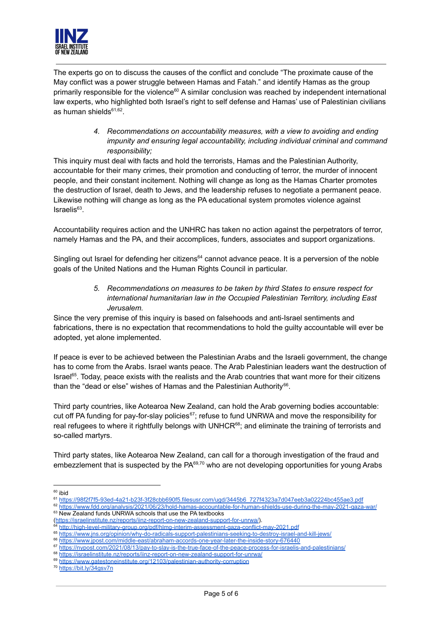

The experts go on to discuss the causes of the conflict and conclude "The proximate cause of the May conflict was a power struggle between Hamas and Fatah." and identify Hamas as the group primarily responsible for the violence<sup>60</sup> A similar conclusion was reached by independent international law experts, who highlighted both Israel's right to self defense and Hamas' use of Palestinian civilians as human shields<sup>61,62</sup>.

> *4. Recommendations on accountability measures, with a view to avoiding and ending impunity and ensuring legal accountability, including individual criminal and command responsibility;*

This inquiry must deal with facts and hold the terrorists, Hamas and the Palestinian Authority, accountable for their many crimes, their promotion and conducting of terror, the murder of innocent people, and their constant incitement. Nothing will change as long as the Hamas Charter promotes the destruction of Israel, death to Jews, and the leadership refuses to negotiate a permanent peace. Likewise nothing will change as long as the PA educational system promotes violence against Israelis 63 .

Accountability requires action and the UNHRC has taken no action against the perpetrators of terror, namely Hamas and the PA, and their accomplices, funders, associates and support organizations.

Singling out Israel for defending her citizens<sup>64</sup> cannot advance peace. It is a perversion of the noble goals of the United Nations and the Human Rights Council in particular.

> *5. Recommendations on measures to be taken by third States to ensure respect for international humanitarian law in the Occupied Palestinian Territory, including East Jerusalem.*

Since the very premise of this inquiry is based on falsehoods and anti-Israel sentiments and fabrications, there is no expectation that recommendations to hold the guilty accountable will ever be adopted, yet alone implemented.

If peace is ever to be achieved between the Palestinian Arabs and the Israeli government, the change has to come from the Arabs. Israel wants peace. The Arab Palestinian leaders want the destruction of Israel<sup>65</sup>. Today, peace exists with the realists and the Arab countries that want more for their citizens than the "dead or else" wishes of Hamas and the Palestinian Authority<sup>66</sup>.

Third party countries, like Aotearoa New Zealand, can hold the Arab governing bodies accountable: cut off PA funding for pay-for-slay policies $^{67}$ ; refuse to fund UNRWA and move the responsibility for real refugees to where it rightfully belongs with UNHCR<sup>68</sup>; and eliminate the training of terrorists and so-called martyrs.

Third party states, like Aotearoa New Zealand, can call for a thorough investigation of the fraud and embezzlement that is suspected by the PA $^{69,70}$  who are not developing opportunities for young Arabs

(<https://israelinstitute.nz/reports/iinz-report-on-new-zealand-support-for-unrwa/>).

<sup>66</sup> [https://www.jpost.com/middle-east/abraham-accords-one-year-later-the-inside-story-676440](https://www.jpost.com/middle-east/abraham-accords-one-year-later-the-inside-story-676440%E2%80%8B)

<sup>69</sup> <https://www.gatestoneinstitute.org/12103/palestinian-authority-corruption> <sup>68</sup> <https://israelinstitute.nz/reports/iinz-report-on-new-zealand-support-for-unrwa/>

<sup>&</sup>lt;sup>60</sup> ibid

<sup>61</sup> [https://98f2f7f5-93ed-4a21-b23f-3f28cbb690f5.filesusr.com/ugd/3445b6\\_727f4323a7d047eeb3a02224bc455ae3.pdf](https://98f2f7f5-93ed-4a21-b23f-3f28cbb690f5.filesusr.com/ugd/3445b6_727f4323a7d047eeb3a02224bc455ae3.pdf)

<sup>&</sup>lt;sup>63</sup> New Zealand funds UNRWA schools that use the PA textbooks <sup>62</sup> <https://www.fdd.org/analysis/2021/06/23/hold-hamas-accountable-for-human-shields-use-during-the-may-2021-gaza-war/>

<sup>64</sup> <http://high-level-military-group.org/pdf/hlmg-interim-assessment-gaza-conflict-may-2021.pdf>

<sup>65</sup> <https://www.jns.org/opinion/why-do-radicals-support-palestinians-seeking-to-destroy-israel-and-kill-jews/>

<sup>67</sup> <https://nypost.com/2021/08/13/pay-to-slay-is-the-true-face-of-the-peace-process-for-israelis-and-palestinians/>

<sup>70</sup> <https://bit.ly/34gsv7n>